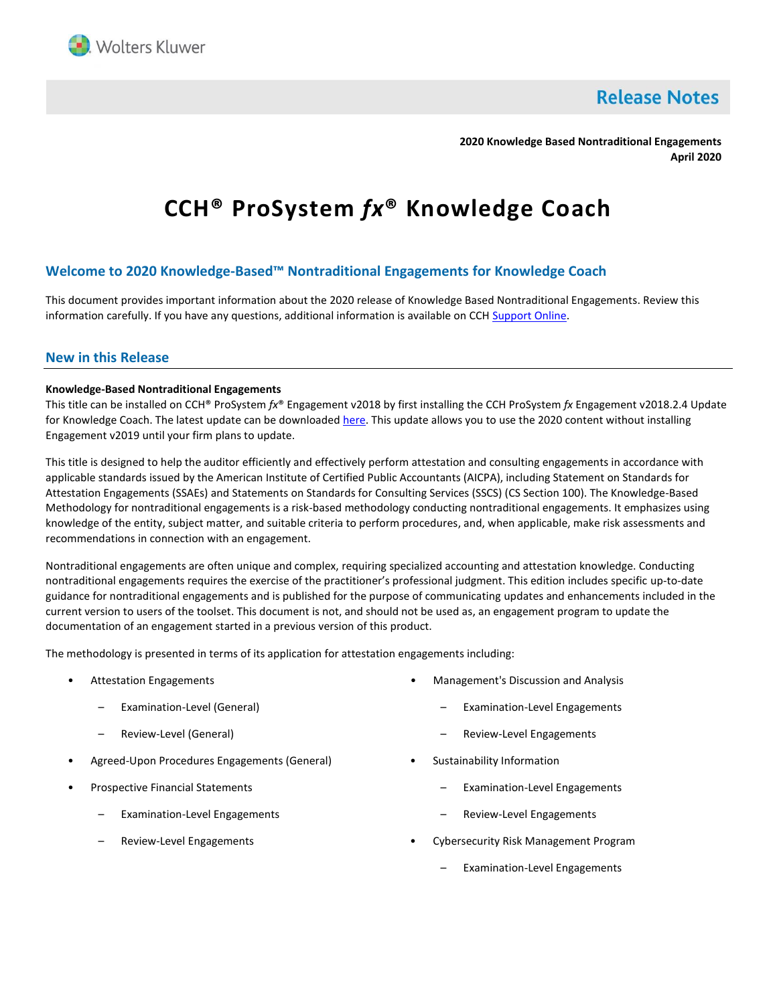

**Release Notes** 

**2020 Knowledge Based Nontraditional Engagements April 2020**

# **CCH® ProSystem** *fx***® Knowledge Coach**

## **Welcome to 2020 Knowledge-Based™ Nontraditional Engagements for Knowledge Coach**

This document provides important information about the 2020 release of Knowledge Based Nontraditional Engagements. Review this information carefully. If you have any questions, additional information is available on CCH [Support Online.](http://support.cch.com/productsupport/)

## **New in this Release**

#### **Knowledge-Based Nontraditional Engagements**

This title can be installed on CCH® ProSystem *fx*® Engagement v2018 by first installing the CCH ProSystem *fx* Engagement v2018.2.4 Update for Knowledge Coach. The latest update can be downloade[d here.](https://support.cch.com/updates/Engagement/release2018/release2018.aspx) This update allows you to use the 2020 content without installing Engagement v2019 until your firm plans to update.

This title is designed to help the auditor efficiently and effectively perform attestation and consulting engagements in accordance with applicable standards issued by the American Institute of Certified Public Accountants (AICPA), including Statement on Standards for Attestation Engagements (SSAEs) and Statements on Standards for Consulting Services (SSCS) (CS Section 100). The Knowledge-Based Methodology for nontraditional engagements is a risk-based methodology conducting nontraditional engagements. It emphasizes using knowledge of the entity, subject matter, and suitable criteria to perform procedures, and, when applicable, make risk assessments and recommendations in connection with an engagement.

Nontraditional engagements are often unique and complex, requiring specialized accounting and attestation knowledge. Conducting nontraditional engagements requires the exercise of the practitioner's professional judgment. This edition includes specific up-to-date guidance for nontraditional engagements and is published for the purpose of communicating updates and enhancements included in the current version to users of the toolset. This document is not, and should not be used as, an engagement program to update the documentation of an engagement started in a previous version of this product.

The methodology is presented in terms of its application for attestation engagements including:

- Attestation Engagements
	- Examination-Level (General)
	- Review-Level (General)
- Agreed-Upon Procedures Engagements (General)
- Prospective Financial Statements
	- Examination-Level Engagements
	- Review-Level Engagements
- Management's Discussion and Analysis
	- Examination-Level Engagements
	- Review-Level Engagements
- Sustainability Information
	- Examination-Level Engagements
	- Review-Level Engagements
- Cybersecurity Risk Management Program
	- Examination-Level Engagements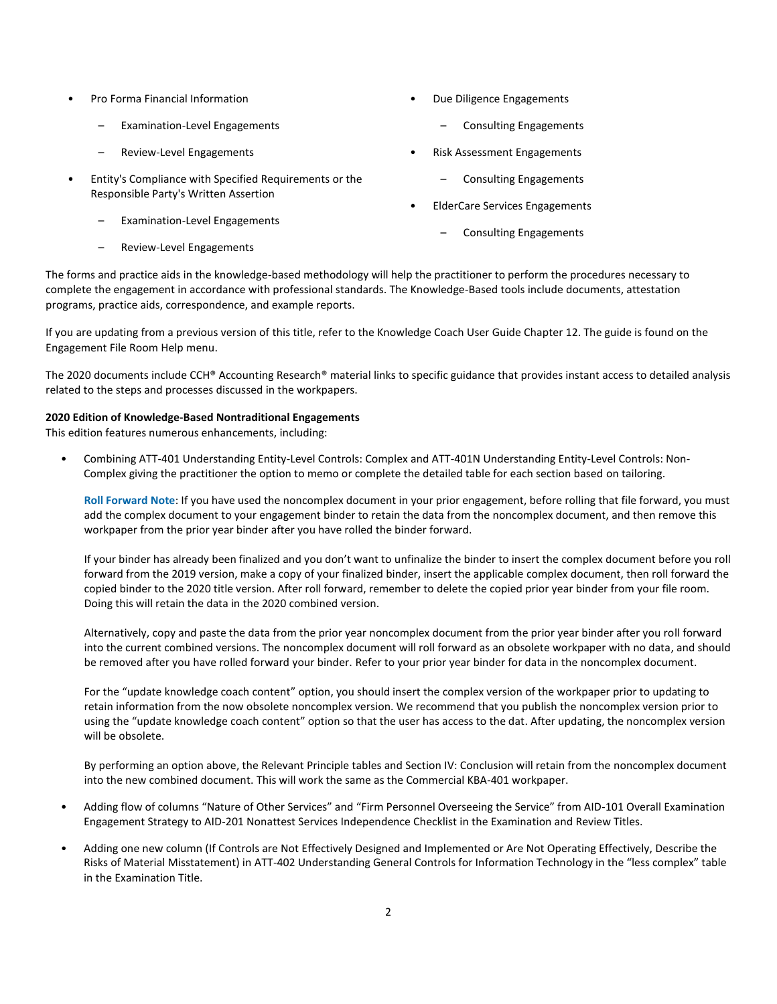- Pro Forma Financial Information
	- Examination-Level Engagements
	- Review-Level Engagements
- Entity's Compliance with Specified Requirements or the Responsible Party's Written Assertion
	- Examination-Level Engagements
	- Review-Level Engagements
- Due Diligence Engagements
	- Consulting Engagements
- Risk Assessment Engagements
	- Consulting Engagements
- ElderCare Services Engagements
	- Consulting Engagements

The forms and practice aids in the knowledge-based methodology will help the practitioner to perform the procedures necessary to complete the engagement in accordance with professional standards. The Knowledge-Based tools include documents, attestation programs, practice aids, correspondence, and example reports.

If you are updating from a previous version of this title, refer to the Knowledge Coach User Guide Chapter 12. The guide is found on the Engagement File Room Help menu.

The 2020 documents include CCH® Accounting Research® material links to specific guidance that provides instant access to detailed analysis related to the steps and processes discussed in the workpapers.

#### **2020 Edition of Knowledge-Based Nontraditional Engagements**

This edition features numerous enhancements, including:

• Combining ATT-401 Understanding Entity-Level Controls: Complex and ATT-401N Understanding Entity-Level Controls: Non-Complex giving the practitioner the option to memo or complete the detailed table for each section based on tailoring.

**Roll Forward Note**: If you have used the noncomplex document in your prior engagement, before rolling that file forward, you must add the complex document to your engagement binder to retain the data from the noncomplex document, and then remove this workpaper from the prior year binder after you have rolled the binder forward.

If your binder has already been finalized and you don't want to unfinalize the binder to insert the complex document before you roll forward from the 2019 version, make a copy of your finalized binder, insert the applicable complex document, then roll forward the copied binder to the 2020 title version. After roll forward, remember to delete the copied prior year binder from your file room. Doing this will retain the data in the 2020 combined version.

Alternatively, copy and paste the data from the prior year noncomplex document from the prior year binder after you roll forward into the current combined versions. The noncomplex document will roll forward as an obsolete workpaper with no data, and should be removed after you have rolled forward your binder. Refer to your prior year binder for data in the noncomplex document.

For the "update knowledge coach content" option, you should insert the complex version of the workpaper prior to updating to retain information from the now obsolete noncomplex version. We recommend that you publish the noncomplex version prior to using the "update knowledge coach content" option so that the user has access to the dat. After updating, the noncomplex version will be obsolete.

By performing an option above, the Relevant Principle tables and Section IV: Conclusion will retain from the noncomplex document into the new combined document. This will work the same as the Commercial KBA-401 workpaper.

- Adding flow of columns "Nature of Other Services" and "Firm Personnel Overseeing the Service" from AID-101 Overall Examination Engagement Strategy to AID-201 Nonattest Services Independence Checklist in the Examination and Review Titles.
- Adding one new column (If Controls are Not Effectively Designed and Implemented or Are Not Operating Effectively, Describe the Risks of Material Misstatement) in ATT-402 Understanding General Controls for Information Technology in the "less complex" table in the Examination Title.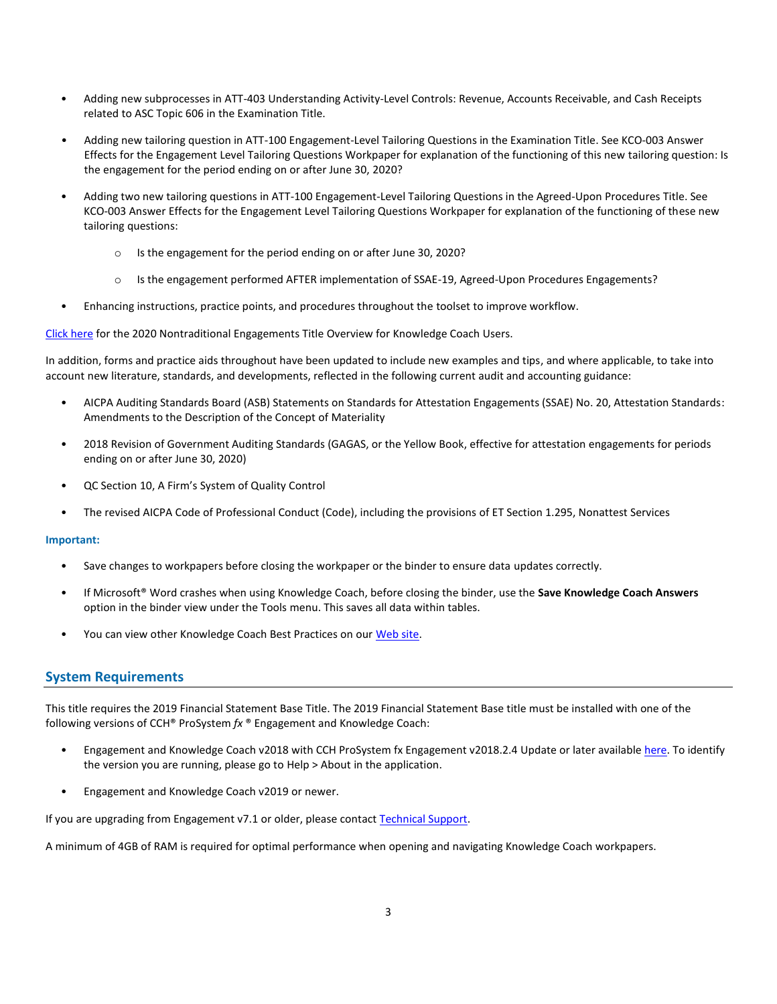- Adding new subprocesses in ATT-403 Understanding Activity-Level Controls: Revenue, Accounts Receivable, and Cash Receipts related to ASC Topic 606 in the Examination Title.
- Adding new tailoring question in ATT-100 Engagement-Level Tailoring Questions in the Examination Title. See KCO-003 Answer Effects for the Engagement Level Tailoring Questions Workpaper for explanation of the functioning of this new tailoring question: Is the engagement for the period ending on or after June 30, 2020?
- Adding two new tailoring questions in ATT-100 Engagement-Level Tailoring Questions in the Agreed-Upon Procedures Title. See KCO-003 Answer Effects for the Engagement Level Tailoring Questions Workpaper for explanation of the functioning of these new tailoring questions:
	- Is the engagement for the period ending on or after June 30, 2020?
	- o Is the engagement performed AFTER implementation of SSAE-19, Agreed-Upon Procedures Engagements?
- Enhancing instructions, practice points, and procedures throughout the toolset to improve workflow.

[Click here](http://support.cch.com/updates/KnowledgeCoach/pdf/guides_tab/2020%20Non-Traditional%20Engagements%20Title%20Overview%20for%20Knowledge%20Coach%20Users.pdf) for the 2020 Nontraditional Engagements Title Overview for Knowledge Coach Users.

In addition, forms and practice aids throughout have been updated to include new examples and tips, and where applicable, to take into account new literature, standards, and developments, reflected in the following current audit and accounting guidance:

- AICPA Auditing Standards Board (ASB) Statements on Standards for Attestation Engagements (SSAE) No. 20, Attestation Standards: Amendments to the Description of the Concept of Materiality
- 2018 Revision of Government Auditing Standards (GAGAS, or the Yellow Book, effective for attestation engagements for periods ending on or after June 30, 2020)
- QC Section 10, A Firm's System of Quality Control
- The revised AICPA Code of Professional Conduct (Code), including the provisions of ET Section 1.295, Nonattest Services

#### **Important:**

- Save changes to workpapers before closing the workpaper or the binder to ensure data updates correctly.
- If Microsoft® Word crashes when using Knowledge Coach, before closing the binder, use the **Save Knowledge Coach Answers** option in the binder view under the Tools menu. This saves all data within tables.
- You can view other Knowledge Coach Best Practices on our [Web](https://support.cch.com/kb/solution/000034942/sw34947) site.

#### **System Requirements**

This title requires the 2019 Financial Statement Base Title. The 2019 Financial Statement Base title must be installed with one of the following versions of CCH® ProSystem *fx* ® Engagement and Knowledge Coach:

- Engagement and Knowledge Coach v2018 with CCH ProSystem fx Engagement v2018.2.4 Update or later available [here.](https://support.cch.com/updates/Engagement/release2018/release2018.aspx) To identify the version you are running, please go to Help > About in the application.
- Engagement and Knowledge Coach v2019 or newer.

If you are upgrading from Engagement v7.1 or older, please contact [Technical Support.](https://support.cch.com/contact)

A minimum of 4GB of RAM is required for optimal performance when opening and navigating Knowledge Coach workpapers.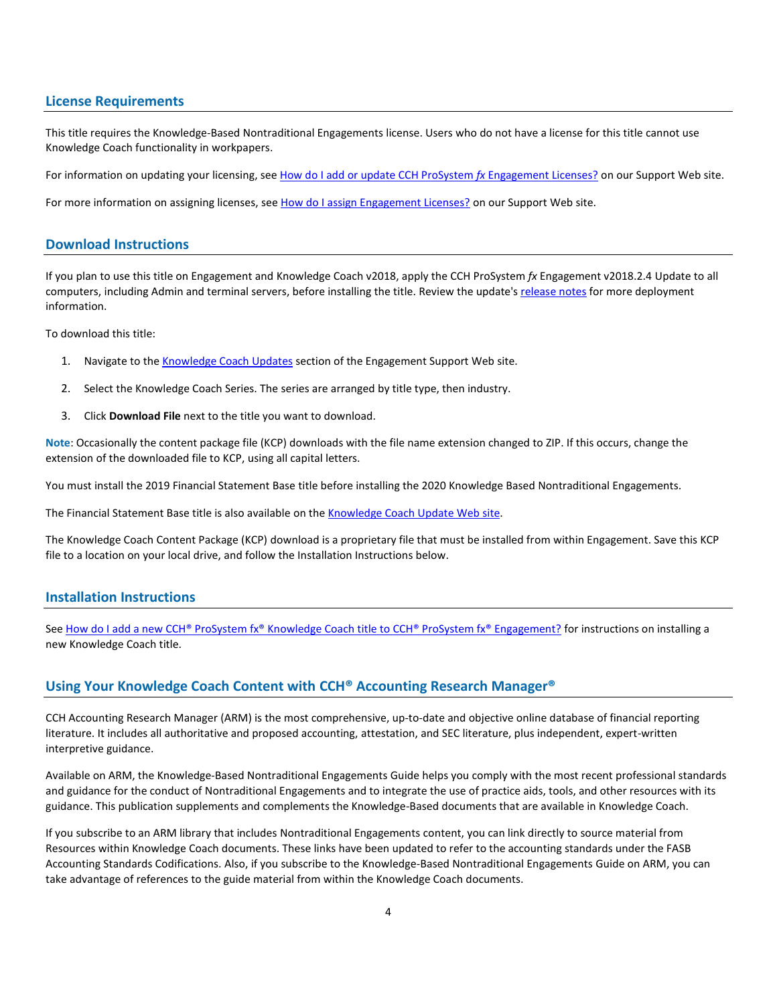#### **License Requirements**

This title requires the Knowledge-Based Nontraditional Engagements license. Users who do not have a license for this title cannot use Knowledge Coach functionality in workpapers.

For information on updating your licensing, see [How do I add or update CCH ProSystem](https://support.cch.com/kb/solution.aspx/sw3937) fx Engagement Licenses? on our Support Web site.

For more information on assigning licenses, see [How do I assign Engagement Licenses?](https://support.cch.com/kb/solution.aspx/sw3943) on our Support Web site.

#### **Download Instructions**

If you plan to use this title on Engagement and Knowledge Coach v2018, apply the CCH ProSystem *fx* Engagement v2018.2.4 Update to all computers, including Admin and terminal servers, before installing the title. Review the update'[s release notes](https://d2iceilwdglxpz.cloudfront.net/release_notes/CCH%20ProSystem%20fx%20Engagement%202018.2.4%20Release%20Notes.pdf) for more deployment information.

To download this title:

- 1. Navigate to the [Knowledge Coach Updates](http://support.cch.com/updates/KnowledgeCoach) section of the Engagement Support Web site.
- 2. Select the Knowledge Coach Series. The series are arranged by title type, then industry.
- 3. Click **Download File** next to the title you want to download.

**Note**: Occasionally the content package file (KCP) downloads with the file name extension changed to ZIP. If this occurs, change the extension of the downloaded file to KCP, using all capital letters.

You must install the 2019 Financial Statement Base title before installing the 2020 Knowledge Based Nontraditional Engagements.

The Financial Statement Base title is also available on th[e Knowledge Coach Update Web](http://support.cch.com/updates/KnowledgeCoach) site.

The Knowledge Coach Content Package (KCP) download is a proprietary file that must be installed from within Engagement. Save this KCP file to a location on your local drive, and follow the Installation Instructions below.

## **Installation Instructions**

See [How do I add a new CCH® ProSystem fx® Knowledge Coach title to CCH® ProSystem fx® Engagement?](https://support.cch.com/kb/solution/000033707/sw30271) for instructions on installing a new Knowledge Coach title.

#### **Using Your Knowledge Coach Content with CCH® Accounting Research Manager®**

CCH Accounting Research Manager (ARM) is the most comprehensive, up-to-date and objective online database of financial reporting literature. It includes all authoritative and proposed accounting, attestation, and SEC literature, plus independent, expert-written interpretive guidance.

Available on ARM, the Knowledge-Based Nontraditional Engagements Guide helps you comply with the most recent professional standards and guidance for the conduct of Nontraditional Engagements and to integrate the use of practice aids, tools, and other resources with its guidance. This publication supplements and complements the Knowledge-Based documents that are available in Knowledge Coach.

If you subscribe to an ARM library that includes Nontraditional Engagements content, you can link directly to source material from Resources within Knowledge Coach documents. These links have been updated to refer to the accounting standards under the FASB Accounting Standards Codifications. Also, if you subscribe to the Knowledge-Based Nontraditional Engagements Guide on ARM, you can take advantage of references to the guide material from within the Knowledge Coach documents.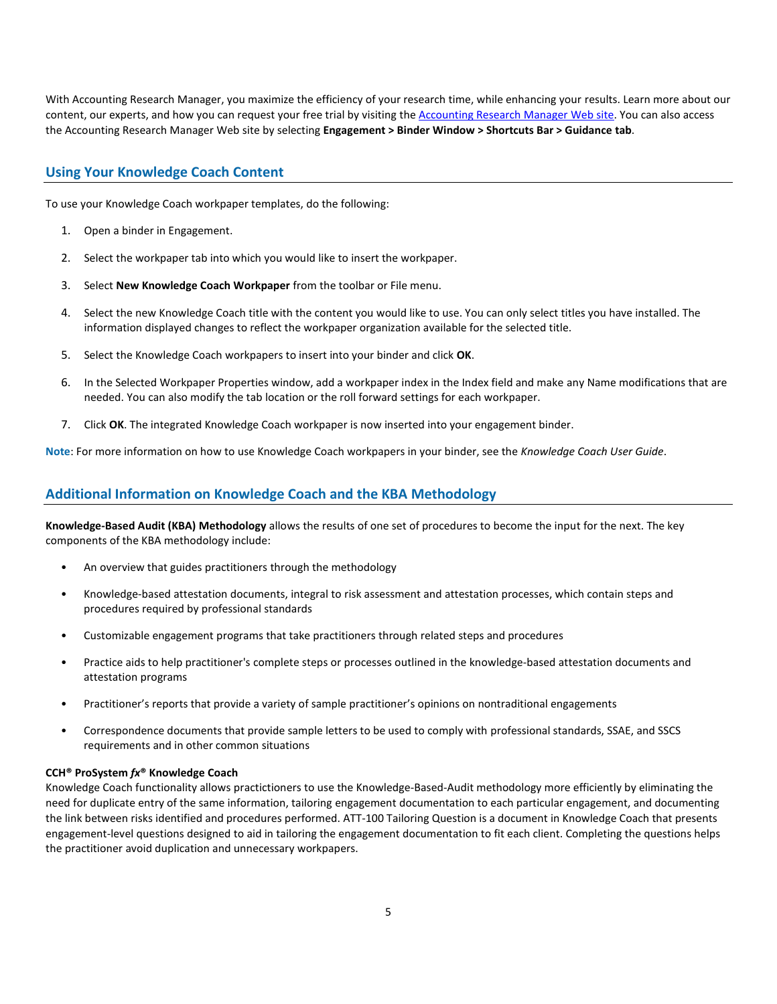With Accounting Research Manager, you maximize the efficiency of your research time, while enhancing your results. Learn more about our content, our experts, and how you can request your free trial by visiting the [Accounting Research Manager Web](http://www.accountingresearchmanager.com/) site. You can also access the Accounting Research Manager Web site by selecting **Engagement > Binder Window > Shortcuts Bar > Guidance tab**.

## **Using Your Knowledge Coach Content**

To use your Knowledge Coach workpaper templates, do the following:

- 1. Open a binder in Engagement.
- 2. Select the workpaper tab into which you would like to insert the workpaper.
- 3. Select **New Knowledge Coach Workpaper** from the toolbar or File menu.
- 4. Select the new Knowledge Coach title with the content you would like to use. You can only select titles you have installed. The information displayed changes to reflect the workpaper organization available for the selected title.
- 5. Select the Knowledge Coach workpapers to insert into your binder and click **OK**.
- 6. In the Selected Workpaper Properties window, add a workpaper index in the Index field and make any Name modifications that are needed. You can also modify the tab location or the roll forward settings for each workpaper.
- 7. Click **OK**. The integrated Knowledge Coach workpaper is now inserted into your engagement binder.

**Note**: For more information on how to use Knowledge Coach workpapers in your binder, see the *Knowledge Coach User Guide*.

## **Additional Information on Knowledge Coach and the KBA Methodology**

**Knowledge-Based Audit (KBA) Methodology** allows the results of one set of procedures to become the input for the next. The key components of the KBA methodology include:

- An overview that guides practitioners through the methodology
- Knowledge-based attestation documents, integral to risk assessment and attestation processes, which contain steps and procedures required by professional standards
- Customizable engagement programs that take practitioners through related steps and procedures
- Practice aids to help practitioner's complete steps or processes outlined in the knowledge-based attestation documents and attestation programs
- Practitioner's reports that provide a variety of sample practitioner's opinions on nontraditional engagements
- Correspondence documents that provide sample letters to be used to comply with professional standards, SSAE, and SSCS requirements and in other common situations

#### **CCH® ProSystem** *fx***® Knowledge Coach**

Knowledge Coach functionality allows practictioners to use the Knowledge-Based-Audit methodology more efficiently by eliminating the need for duplicate entry of the same information, tailoring engagement documentation to each particular engagement, and documenting the link between risks identified and procedures performed. ATT-100 Tailoring Question is a document in Knowledge Coach that presents engagement-level questions designed to aid in tailoring the engagement documentation to fit each client. Completing the questions helps the practitioner avoid duplication and unnecessary workpapers.